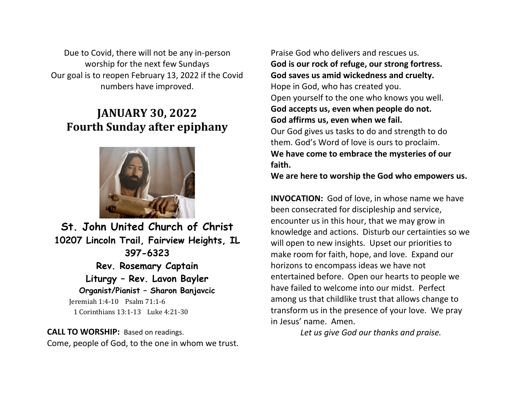Due to Covid, there will not be any in-person worship for the next few Sundays Our goal is to reopen February 13, 2022 if the Covid numbers have improved.

# **JANUARY 30, 2022 Fourth Sunday after epiphany**



**St. John United Church of Christ 10207 Lincoln Trail, Fairview Heights, IL 397-6323 Rev. Rosemary Captain Liturgy – Rev. Lavon Bayler Organist/Pianist – Sharon Banjavcic**  Jeremiah 1:4-10 Psalm 71:1-6 1 Corinthians 13:1-13 Luke 4:21-30

**CALL TO WORSHIP:** Based on readings. Come, people of God, to the one in whom we trust.

Praise God who delivers and rescues us. **God is our rock of refuge, our strong fortress. God saves us amid wickedness and cruelty.** Hope in God, who has created you. Open yourself to the one who knows you well. **God accepts us, even when people do not. God affirms us, even when we fail.** Our God gives us tasks to do and strength to do them. God's Word of love is ours to proclaim. **We have come to embrace the mysteries of our faith.**

**We are here to worship the God who empowers us.**

**INVOCATION:** God of love, in whose name we have been consecrated for discipleship and service, encounter us in this hour, that we may grow in knowledge and actions. Disturb our certainties so we will open to new insights. Upset our priorities to make room for faith, hope, and love. Expand our horizons to encompass ideas we have not entertained before. Open our hearts to people we have failed to welcome into our midst. Perfect among us that childlike trust that allows change to transform us in the presence of your love. We pray in Jesus' name. Amen.

*Let us give God our thanks and praise.*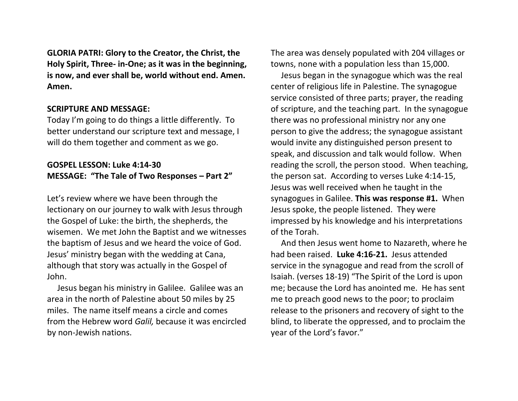**GLORIA PATRI: Glory to the Creator, the Christ, the Holy Spirit, Three- in-One; as it was in the beginning, is now, and ever shall be, world without end. Amen. Amen.**

#### **SCRIPTURE AND MESSAGE:**

Today I'm going to do things a little differently. To better understand our scripture text and message, I will do them together and comment as we go.

## **GOSPEL LESSON: Luke 4:14-30 MESSAGE: "The Tale of Two Responses – Part 2"**

Let's review where we have been through the lectionary on our journey to walk with Jesus through the Gospel of Luke: the birth, the shepherds, the wisemen. We met John the Baptist and we witnesses the baptism of Jesus and we heard the voice of God. Jesus' ministry began with the wedding at Cana, although that story was actually in the Gospel of John.

 Jesus began his ministry in Galilee. Galilee was an area in the north of Palestine about 50 miles by 25 miles. The name itself means a circle and comes from the Hebrew word *Galil,* because it was encircled by non-Jewish nations.

The area was densely populated with 204 villages or towns, none with a population less than 15,000.

 Jesus began in the synagogue which was the real center of religious life in Palestine. The synagogue service consisted of three parts; prayer, the reading of scripture, and the teaching part. In the synagogue there was no professional ministry nor any one person to give the address; the synagogue assistant would invite any distinguished person present to speak, and discussion and talk would follow. When reading the scroll, the person stood. When teaching, the person sat. According to verses Luke 4:14-15, Jesus was well received when he taught in the synagogues in Galilee. **This was response #1.** When Jesus spoke, the people listened. They were impressed by his knowledge and his interpretations of the Torah.

 And then Jesus went home to Nazareth, where he had been raised. **Luke 4:16-21.** Jesus attended service in the synagogue and read from the scroll of Isaiah. (verses 18-19) "The Spirit of the Lord is upon me; because the Lord has anointed me. He has sent me to preach good news to the poor; to proclaim release to the prisoners and recovery of sight to the blind, to liberate the oppressed, and to proclaim the year of the Lord's favor."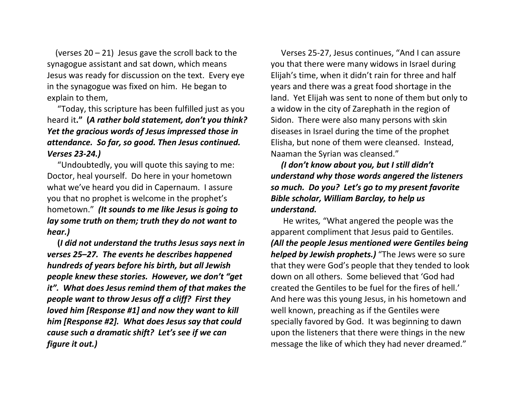(verses  $20 - 21$ ) Jesus gave the scroll back to the synagogue assistant and sat down, which means Jesus was ready for discussion on the text. Every eye in the synagogue was fixed on him. He began to explain to them,

 "Today, this scripture has been fulfilled just as you heard it**." (***A rather bold statement, don't you think? Yet the gracious words of Jesus impressed those in attendance. So far, so good. Then Jesus continued. Verses 23-24.)*

 "Undoubtedly, you will quote this saying to me: Doctor, heal yourself. Do here in your hometown what we've heard you did in Capernaum. I assure you that no prophet is welcome in the prophet's hometown." *(It sounds to me like Jesus is going to lay some truth on them; truth they do not want to hear.)*

 **(***I did not understand the truths Jesus says next in verses 25–27. The events he describes happened hundreds of years before his birth, but all Jewish people knew these stories. However, we don't "get it". What does Jesus remind them of that makes the people want to throw Jesus off a cliff? First they loved him [Response #1] and now they want to kill him [Response #2]. What does Jesus say that could cause such a dramatic shift? Let's see if we can figure it out.)*

 Verses 25-27, Jesus continues, "And I can assure you that there were many widows in Israel during Elijah's time, when it didn't rain for three and half years and there was a great food shortage in the land. Yet Elijah was sent to none of them but only to a widow in the city of Zarephath in the region of Sidon. There were also many persons with skin diseases in Israel during the time of the prophet Elisha, but none of them were cleansed. Instead, Naaman the Syrian was cleansed."

 *(I don't know about you, but I still didn't understand why those words angered the listeners so much. Do you? Let's go to my present favorite Bible scholar, William Barclay, to help us understand.* 

He writes*,* "What angered the people was the apparent compliment that Jesus paid to Gentiles. *(All the people Jesus mentioned were Gentiles being helped by Jewish prophets.)* "The Jews were so sure that they were God's people that they tended to look down on all others. Some believed that 'God had created the Gentiles to be fuel for the fires of hell.' And here was this young Jesus, in his hometown and well known, preaching as if the Gentiles were specially favored by God. It was beginning to dawn upon the listeners that there were things in the new message the like of which they had never dreamed."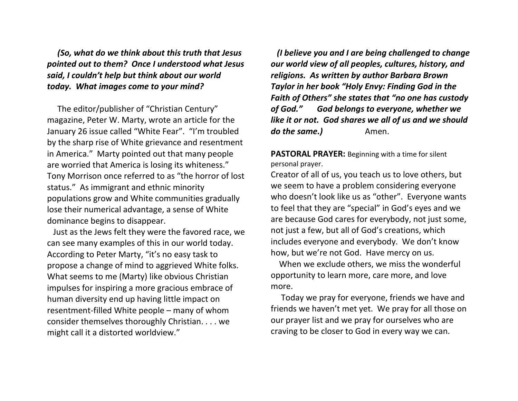*(So, what do we think about this truth that Jesus pointed out to them? Once I understood what Jesus said, I couldn't help but think about our world today. What images come to your mind?*

The editor/publisher of "Christian Century" magazine, Peter W. Marty, wrote an article for the January 26 issue called "White Fear". "I'm troubled by the sharp rise of White grievance and resentment in America." Marty pointed out that many people are worried that America is losing its whiteness." Tony Morrison once referred to as "the horror of lost status." As immigrant and ethnic minority populations grow and White communities gradually lose their numerical advantage, a sense of White dominance begins to disappear.

Just as the Jews felt they were the favored race, we can see many examples of this in our world today. According to Peter Marty, "it's no easy task to propose a change of mind to aggrieved White folks. What seems to me (Marty) like obvious Christian impulses for inspiring a more gracious embrace of human diversity end up having little impact on resentment-filled White people – many of whom consider themselves thoroughly Christian. . . . we might call it a distorted worldview."

 *(I believe you and I are being challenged to change our world view of all peoples, cultures, history, and religions. As written by author Barbara Brown Taylor in her book "Holy Envy: Finding God in the Faith of Others" she states that "no one has custody of God." God belongs to everyone, whether we like it or not. God shares we all of us and we should do the same.)* Amen.

**PASTORAL PRAYER:** Beginning with a time for silent personal prayer.

Creator of all of us, you teach us to love others, but we seem to have a problem considering everyone who doesn't look like us as "other". Everyone wants to feel that they are "special" in God's eyes and we are because God cares for everybody, not just some, not just a few, but all of God's creations, which includes everyone and everybody. We don't know how, but we're not God. Have mercy on us.

 When we exclude others, we miss the wonderful opportunity to learn more, care more, and love more.

 Today we pray for everyone, friends we have and friends we haven't met yet. We pray for all those on our prayer list and we pray for ourselves who are craving to be closer to God in every way we can.